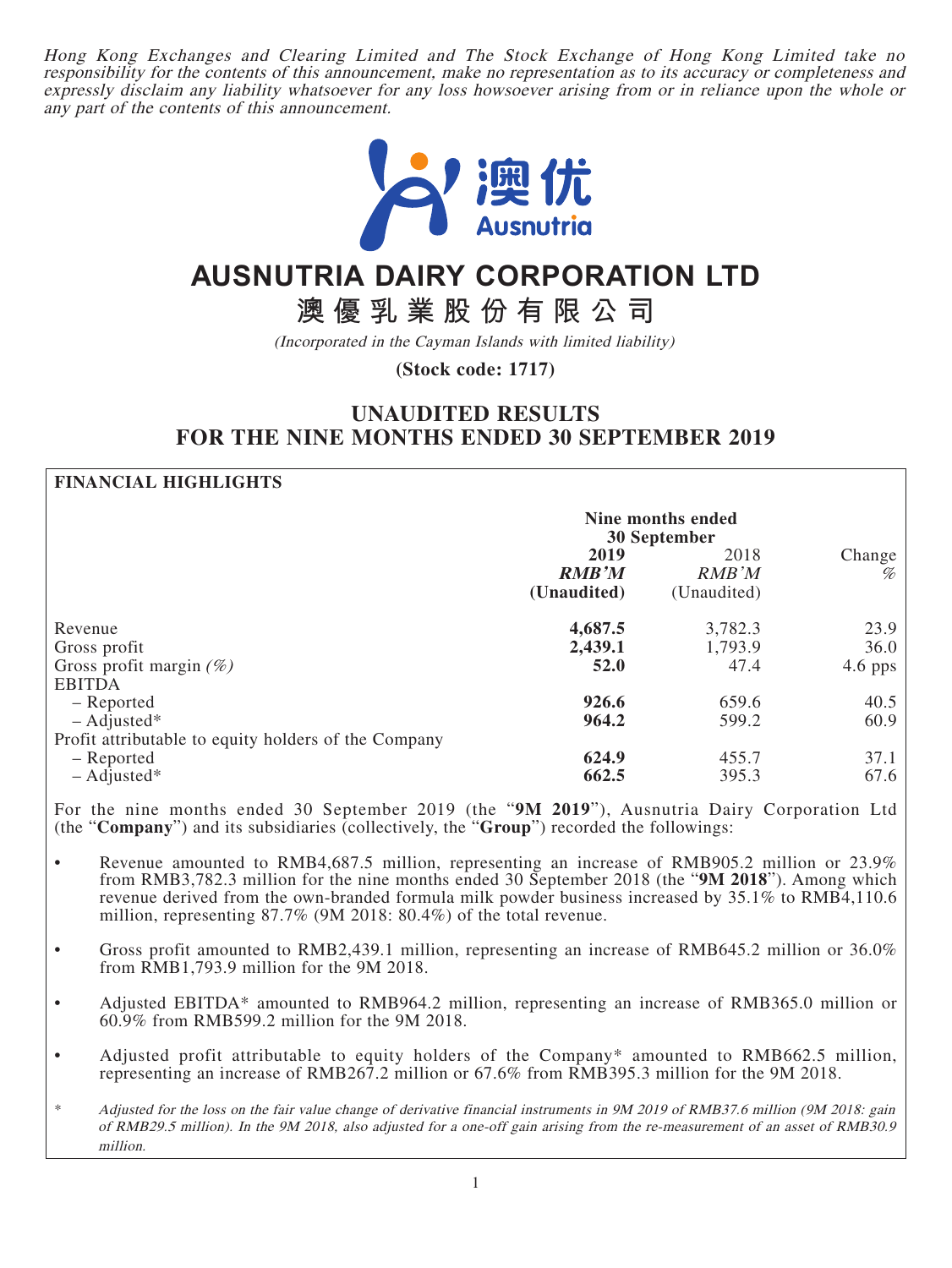Hong Kong Exchanges and Clearing Limited and The Stock Exchange of Hong Kong Limited take no responsibility for the contents of this announcement, make no representation as to its accuracy or completeness and expressly disclaim any liability whatsoever for any loss howsoever arising from or in reliance upon the whole or any part of the contents of this announcement.



# **AUSNUTRIA DAIRY CORPORATION LTD**

**澳優乳業股份有限公司**

(Incorporated in the Cayman Islands with limited liability)

**(Stock code: 1717)**

# **UNAUDITED RESULTS FOR THE NINE MONTHS ENDED 30 SEPTEMBER 2019**

#### **FINANCIAL HIGHLIGHTS**

|                                                                                     | Nine months ended<br>30 September   |                              |                           |
|-------------------------------------------------------------------------------------|-------------------------------------|------------------------------|---------------------------|
|                                                                                     | 2019<br><b>RMB'M</b><br>(Unaudited) | 2018<br>RMB'M<br>(Unaudited) | Change<br>$\%$            |
| Revenue<br>Gross profit<br>Gross profit margin $(\%)$                               | 4,687.5<br>2,439.1<br>52.0          | 3,782.3<br>1,793.9<br>47.4   | 23.9<br>36.0<br>$4.6$ pps |
| <b>EBITDA</b><br>- Reported<br>$-$ Adjusted*                                        | 926.6<br>964.2                      | 659.6<br>599.2               | 40.5<br>60.9              |
| Profit attributable to equity holders of the Company<br>- Reported<br>$-$ Adjusted* | 624.9<br>662.5                      | 455.7<br>395.3               | 37.1<br>67.6              |

For the nine months ended 30 September 2019 (the "**9M 2019**"), Ausnutria Dairy Corporation Ltd (the "**Company**") and its subsidiaries (collectively, the "**Group**") recorded the followings:

- Revenue amounted to RMB4,687.5 million, representing an increase of RMB905.2 million or 23.9% from RMB3,782.3 million for the nine months ended 30 September 2018 (the "**9M 2018**"). Among which revenue derived from the own-branded formula milk powder business increased by 35.1% to RMB4,110.6 million, representing 87.7% (9M 2018: 80.4%) of the total revenue.
- Gross profit amounted to RMB2,439.1 million, representing an increase of RMB645.2 million or 36.0% from RMB1,793.9 million for the 9M 2018.
- Adjusted EBITDA\* amounted to RMB964.2 million, representing an increase of RMB365.0 million or 60.9% from RMB599.2 million for the 9M 2018.
- Adjusted profit attributable to equity holders of the Company<sup>\*</sup> amounted to RMB662.5 million, representing an increase of RMB267.2 million or 67.6% from RMB395.3 million for the 9M 2018.
- \* Adjusted for the loss on the fair value change of derivative financial instruments in 9M 2019 of RMB37.6 million (9M 2018: gain of RMB29.5 million). In the 9M 2018, also adjusted for a one-off gain arising from the re-measurement of an asset of RMB30.9 million.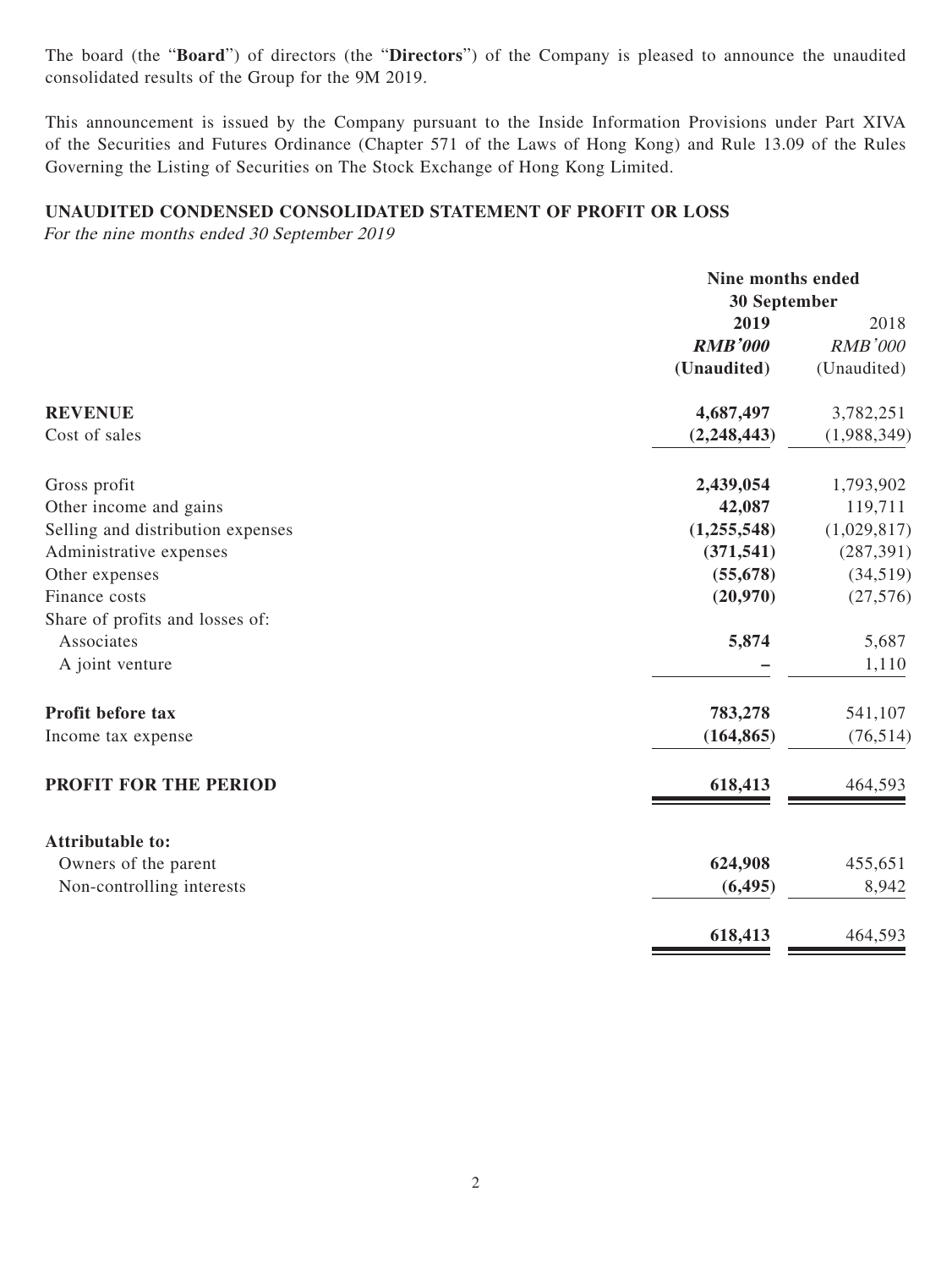The board (the "**Board**") of directors (the "**Directors**") of the Company is pleased to announce the unaudited consolidated results of the Group for the 9M 2019.

This announcement is issued by the Company pursuant to the Inside Information Provisions under Part XIVA of the Securities and Futures Ordinance (Chapter 571 of the Laws of Hong Kong) and Rule 13.09 of the Rules Governing the Listing of Securities on The Stock Exchange of Hong Kong Limited.

#### **UNAUDITED CONDENSED CONSOLIDATED STATEMENT OF PROFIT OR LOSS**

For the nine months ended 30 September 2019

|                                   |                | Nine months ended<br>30 September |  |
|-----------------------------------|----------------|-----------------------------------|--|
|                                   | 2019           | 2018                              |  |
|                                   | <b>RMB'000</b> | <b>RMB'000</b>                    |  |
|                                   | (Unaudited)    | (Unaudited)                       |  |
| <b>REVENUE</b>                    | 4,687,497      | 3,782,251                         |  |
| Cost of sales                     | (2,248,443)    | (1,988,349)                       |  |
| Gross profit                      | 2,439,054      | 1,793,902                         |  |
| Other income and gains            | 42,087         | 119,711                           |  |
| Selling and distribution expenses | (1, 255, 548)  | (1,029,817)                       |  |
| Administrative expenses           | (371, 541)     | (287, 391)                        |  |
| Other expenses                    | (55, 678)      | (34,519)                          |  |
| Finance costs                     | (20,970)       | (27, 576)                         |  |
| Share of profits and losses of:   |                |                                   |  |
| Associates                        | 5,874          | 5,687                             |  |
| A joint venture                   |                | 1,110                             |  |
| Profit before tax                 | 783,278        | 541,107                           |  |
| Income tax expense                | (164, 865)     | (76, 514)                         |  |
| PROFIT FOR THE PERIOD             | 618,413        | 464,593                           |  |
| <b>Attributable to:</b>           |                |                                   |  |
| Owners of the parent              | 624,908        | 455,651                           |  |
| Non-controlling interests         | (6, 495)       | 8,942                             |  |
|                                   | 618,413        | 464,593                           |  |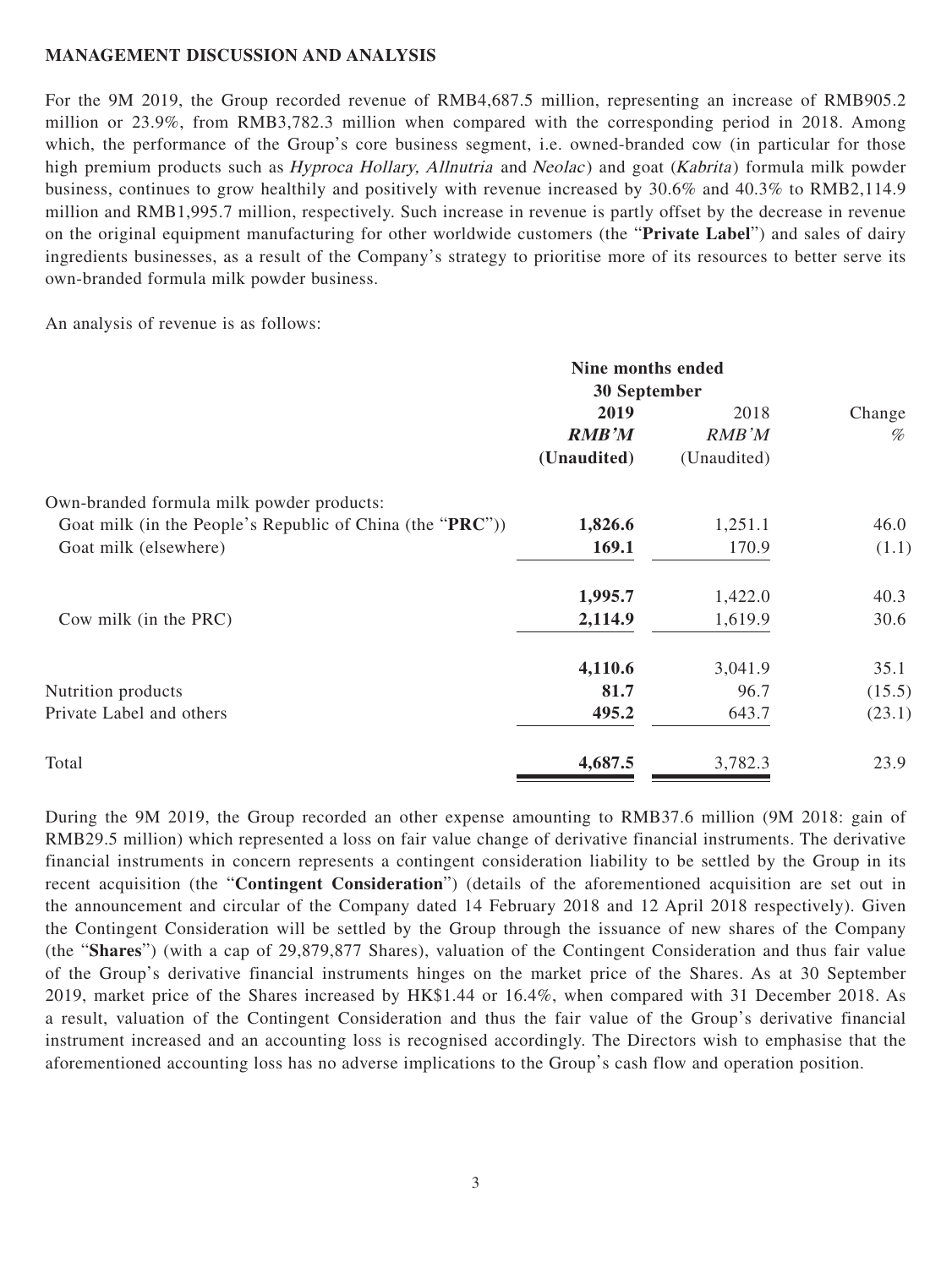#### **MANAGEMENT DISCUSSION AND ANALYSIS**

For the 9M 2019, the Group recorded revenue of RMB4,687.5 million, representing an increase of RMB905.2 million or 23.9%, from RMB3,782.3 million when compared with the corresponding period in 2018. Among which, the performance of the Group's core business segment, i.e. owned-branded cow (in particular for those high premium products such as *Hyproca Hollary, Allnutria* and *Neolac*) and goat (*Kabrita*) formula milk powder business, continues to grow healthily and positively with revenue increased by 30.6% and 40.3% to RMB2,114.9 million and RMB1,995.7 million, respectively. Such increase in revenue is partly offset by the decrease in revenue on the original equipment manufacturing for other worldwide customers (the "**Private Label**") and sales of dairy ingredients businesses, as a result of the Company's strategy to prioritise more of its resources to better serve its own-branded formula milk powder business.

An analysis of revenue is as follows:

|                                                           | Nine months ended<br><b>30 September</b> |             |        |  |
|-----------------------------------------------------------|------------------------------------------|-------------|--------|--|
|                                                           |                                          |             |        |  |
|                                                           | 2019                                     | 2018        | Change |  |
|                                                           | <b>RMB'M</b>                             | RMB'M       | $\%$   |  |
|                                                           | (Unaudited)                              | (Unaudited) |        |  |
| Own-branded formula milk powder products:                 |                                          |             |        |  |
| Goat milk (in the People's Republic of China (the "PRC")) | 1,826.6                                  | 1,251.1     | 46.0   |  |
| Goat milk (elsewhere)                                     | 169.1                                    | 170.9       | (1.1)  |  |
|                                                           | 1,995.7                                  | 1,422.0     | 40.3   |  |
| Cow milk (in the PRC)                                     | 2,114.9                                  | 1,619.9     | 30.6   |  |
|                                                           | 4,110.6                                  | 3,041.9     | 35.1   |  |
| Nutrition products                                        | 81.7                                     | 96.7        | (15.5) |  |
| Private Label and others                                  | 495.2                                    | 643.7       | (23.1) |  |
| Total                                                     | 4,687.5                                  | 3,782.3     | 23.9   |  |

During the 9M 2019, the Group recorded an other expense amounting to RMB37.6 million (9M 2018: gain of RMB29.5 million) which represented a loss on fair value change of derivative financial instruments. The derivative financial instruments in concern represents a contingent consideration liability to be settled by the Group in its recent acquisition (the "**Contingent Consideration**") (details of the aforementioned acquisition are set out in the announcement and circular of the Company dated 14 February 2018 and 12 April 2018 respectively). Given the Contingent Consideration will be settled by the Group through the issuance of new shares of the Company (the "**Shares**") (with a cap of 29,879,877 Shares), valuation of the Contingent Consideration and thus fair value of the Group's derivative financial instruments hinges on the market price of the Shares. As at 30 September 2019, market price of the Shares increased by HK\$1.44 or 16.4%, when compared with 31 December 2018. As a result, valuation of the Contingent Consideration and thus the fair value of the Group's derivative financial instrument increased and an accounting loss is recognised accordingly. The Directors wish to emphasise that the aforementioned accounting loss has no adverse implications to the Group's cash flow and operation position.